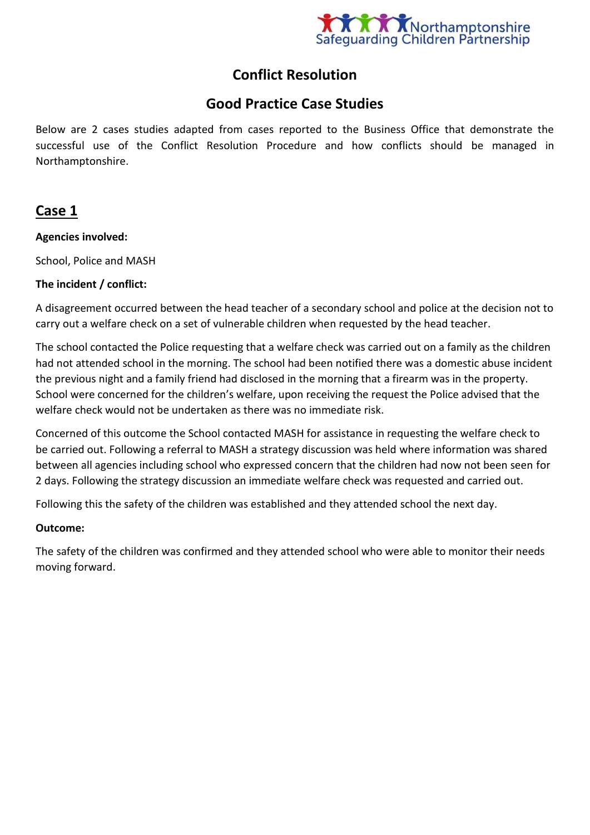

# **Conflict Resolution**

# **Good Practice Case Studies**

Below are 2 cases studies adapted from cases reported to the Business Office that demonstrate the successful use of the Conflict Resolution Procedure and how conflicts should be managed in Northamptonshire.

## **Case 1**

### **Agencies involved:**

School, Police and MASH

#### **The incident / conflict:**

A disagreement occurred between the head teacher of a secondary school and police at the decision not to carry out a welfare check on a set of vulnerable children when requested by the head teacher.

The school contacted the Police requesting that a welfare check was carried out on a family as the children had not attended school in the morning. The school had been notified there was a domestic abuse incident the previous night and a family friend had disclosed in the morning that a firearm was in the property. School were concerned for the children's welfare, upon receiving the request the Police advised that the welfare check would not be undertaken as there was no immediate risk.

Concerned of this outcome the School contacted MASH for assistance in requesting the welfare check to be carried out. Following a referral to MASH a strategy discussion was held where information was shared between all agencies including school who expressed concern that the children had now not been seen for 2 days. Following the strategy discussion an immediate welfare check was requested and carried out.

Following this the safety of the children was established and they attended school the next day.

#### **Outcome:**

The safety of the children was confirmed and they attended school who were able to monitor their needs moving forward.